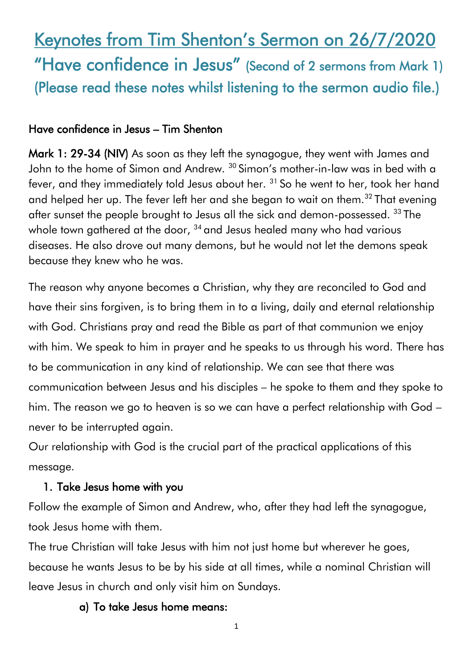# Keynotes from Tim Shenton's Sermon on 26/7/2020 "Have confidence in Jesus" (Second of 2 sermons from Mark 1) (Please read these notes whilst listening to the sermon audio file.)

### Have confidence in Jesus – Tim Shenton

Mark 1: 29-34 (NIV) As soon as they left the synagogue, they went with James and John to the home of Simon and Andrew. <sup>30</sup> Simon's mother-in-law was in bed with a fever, and they immediately told Jesus about her. <sup>31</sup> So he went to her, took her hand and helped her up. The fever left her and she began to wait on them.<sup>32</sup> That evening after sunset the people brought to Jesus all the sick and demon-possessed. <sup>33</sup> The whole town gathered at the door,  $34$  and Jesus healed many who had various diseases. He also drove out many demons, but he would not let the demons speak because they knew who he was.

The reason why anyone becomes a Christian, why they are reconciled to God and have their sins forgiven, is to bring them in to a living, daily and eternal relationship with God. Christians pray and read the Bible as part of that communion we enjoy with him. We speak to him in prayer and he speaks to us through his word. There has to be communication in any kind of relationship. We can see that there was communication between Jesus and his disciples – he spoke to them and they spoke to him. The reason we go to heaven is so we can have a perfect relationship with God – never to be interrupted again.

Our relationship with God is the crucial part of the practical applications of this message.

#### 1. Take Jesus home with you

Follow the example of Simon and Andrew, who, after they had left the synagogue, took Jesus home with them.

The true Christian will take Jesus with him not just home but wherever he goes, because he wants Jesus to be by his side at all times, while a nominal Christian will leave Jesus in church and only visit him on Sundays.

### a) To take Jesus home means:

1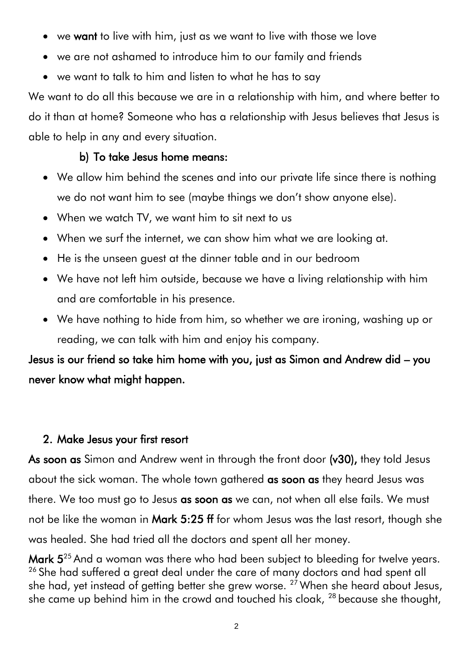- we want to live with him, just as we want to live with those we love
- we are not ashamed to introduce him to our family and friends
- we want to talk to him and listen to what he has to say

We want to do all this because we are in a relationship with him, and where better to do it than at home? Someone who has a relationship with Jesus believes that Jesus is able to help in any and every situation.

### b) To take Jesus home means:

- We allow him behind the scenes and into our private life since there is nothing we do not want him to see (maybe things we don't show anyone else).
- When we watch TV, we want him to sit next to us
- When we surf the internet, we can show him what we are looking at.
- He is the unseen guest at the dinner table and in our bedroom
- We have not left him outside, because we have a living relationship with him and are comfortable in his presence.
- We have nothing to hide from him, so whether we are ironing, washing up or reading, we can talk with him and enjoy his company.

Jesus is our friend so take him home with you, just as Simon and Andrew did – you never know what might happen.

### 2. Make Jesus your first resort

As soon as Simon and Andrew went in through the front door (v30), they told Jesus about the sick woman. The whole town gathered as soon as they heard Jesus was there. We too must go to Jesus as soon as we can, not when all else fails. We must not be like the woman in Mark 5:25 ff for whom Jesus was the last resort, though she was healed. She had tried all the doctors and spent all her money.

Mark  $5^{25}$  And a woman was there who had been subject to bleeding for twelve years. <sup>26</sup> She had suffered a great deal under the care of many doctors and had spent all she had, yet instead of getting better she grew worse.  $27$  When she heard about Jesus, she came up behind him in the crowd and touched his cloak, <sup>28</sup> because she thought,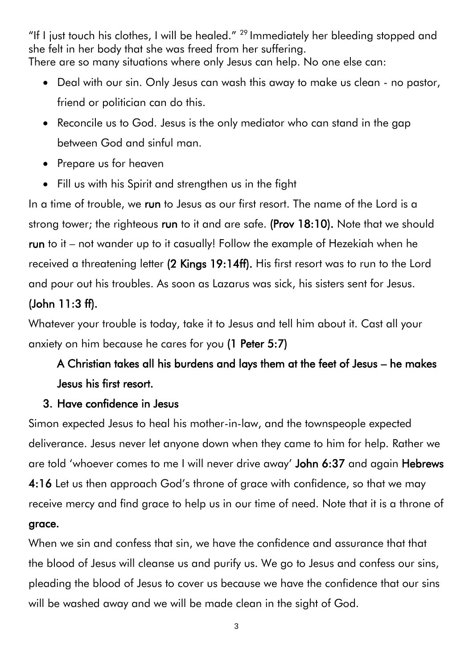"If I just touch his clothes, I will be healed."  $^{29}$  Immediately her bleeding stopped and she felt in her body that she was freed from her suffering. There are so many situations where only Jesus can help. No one else can:

- Deal with our sin. Only Jesus can wash this away to make us clean no pastor, friend or politician can do this.
- Reconcile us to God. Jesus is the only mediator who can stand in the gap between God and sinful man.
- Prepare us for heaven
- Fill us with his Spirit and strengthen us in the fight

In a time of trouble, we run to Jesus as our first resort. The name of the Lord is a strong tower; the righteous run to it and are safe. (Prov 18:10). Note that we should run to it – not wander up to it casually! Follow the example of Hezekiah when he received a threatening letter (2 Kings 19:14ff). His first resort was to run to the Lord and pour out his troubles. As soon as Lazarus was sick, his sisters sent for Jesus.

# (John 11:3 ff).

Whatever your trouble is today, take it to Jesus and tell him about it. Cast all your anxiety on him because he cares for you (1 Peter 5:7)

# A Christian takes all his burdens and lays them at the feet of Jesus – he makes Jesus his first resort.

## 3. Have confidence in Jesus

Simon expected Jesus to heal his mother-in-law, and the townspeople expected deliverance. Jesus never let anyone down when they came to him for help. Rather we are told 'whoever comes to me I will never drive away' John 6:37 and again Hebrews 4:16 Let us then approach God's throne of grace with confidence, so that we may receive mercy and find grace to help us in our time of need. Note that it is a throne of grace.

When we sin and confess that sin, we have the confidence and assurance that that the blood of Jesus will cleanse us and purify us. We go to Jesus and confess our sins, pleading the blood of Jesus to cover us because we have the confidence that our sins will be washed away and we will be made clean in the sight of God.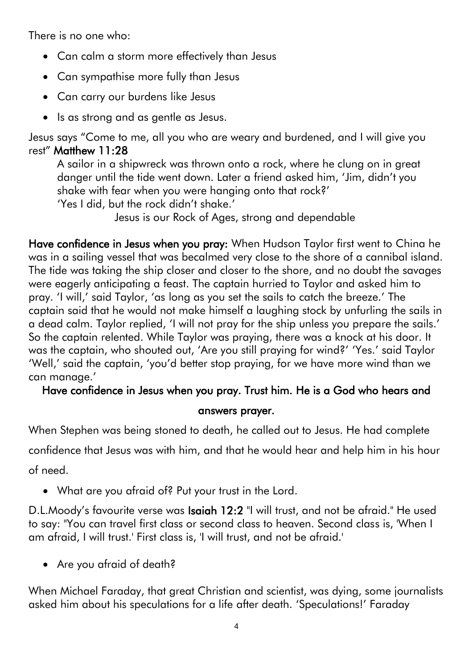There is no one who:

- Can calm a storm more effectively than Jesus
- Can sympathise more fully than Jesus
- Can carry our burdens like Jesus
- Is as strong and as gentle as Jesus.

Jesus says "Come to me, all you who are weary and burdened, and I will give you rest" Matthew 11:28

A sailor in a shipwreck was thrown onto a rock, where he clung on in great danger until the tide went down. Later a friend asked him, 'Jim, didn't you shake with fear when you were hanging onto that rock?'

'Yes I did, but the rock didn't shake.'

Jesus is our Rock of Ages, strong and dependable

Have confidence in Jesus when you pray: When Hudson Taylor first went to China he was in a sailing vessel that was becalmed very close to the shore of a cannibal island. The tide was taking the ship closer and closer to the shore, and no doubt the savages were eagerly anticipating a feast. The captain hurried to Taylor and asked him to pray. 'I will,' said Taylor, 'as long as you set the sails to catch the breeze.' The captain said that he would not make himself a laughing stock by unfurling the sails in a dead calm. Taylor replied, 'I will not pray for the ship unless you prepare the sails.' So the captain relented. While Taylor was praying, there was a knock at his door. It was the captain, who shouted out, 'Are you still praying for wind?' 'Yes.' said Taylor 'Well,' said the captain, 'you'd better stop praying, for we have more wind than we can manage.'

### Have confidence in Jesus when you pray. Trust him. He is a God who hears and

### answers prayer.

When Stephen was being stoned to death, he called out to Jesus. He had complete

confidence that Jesus was with him, and that he would hear and help him in his hour of need.

• What are you afraid of? Put your trust in the Lord.

D.L.Moody's favourite verse was Isaiah 12:2 "I will trust, and not be afraid." He used to say: "You can travel first class or second class to heaven. Second class is, 'When I am afraid, I will trust.' First class is, 'I will trust, and not be afraid.'

• Are you afraid of death?

When Michael Faraday, that great Christian and scientist, was dying, some journalists asked him about his speculations for a life after death. 'Speculations!' Faraday